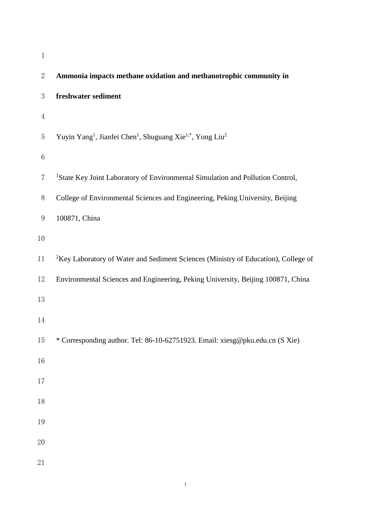| $\mathbf 1$      |                                                                                                           |
|------------------|-----------------------------------------------------------------------------------------------------------|
| $\boldsymbol{2}$ | Ammonia impacts methane oxidation and methanotrophic community in                                         |
| 3                | freshwater sediment                                                                                       |
| $\overline{4}$   |                                                                                                           |
| 5                | Yuyin Yang <sup>1</sup> , Jianfei Chen <sup>1</sup> , Shuguang Xie <sup>1,*</sup> , Yong Liu <sup>2</sup> |
| $\,6$            |                                                                                                           |
| 7                | <sup>1</sup> State Key Joint Laboratory of Environmental Simulation and Pollution Control,                |
| $8\,$            | College of Environmental Sciences and Engineering, Peking University, Beijing                             |
| $\boldsymbol{9}$ | 100871, China                                                                                             |
| 10               |                                                                                                           |
| 11               | <sup>2</sup> Key Laboratory of Water and Sediment Sciences (Ministry of Education), College of            |
| 12               | Environmental Sciences and Engineering, Peking University, Beijing 100871, China                          |
| 13               |                                                                                                           |
| 14               |                                                                                                           |
| 15               | * Corresponding author. Tel: 86-10-62751923. Email: xiesg@pku.edu.cn (S Xie)                              |
| 16               |                                                                                                           |
| 17               |                                                                                                           |
| 18               |                                                                                                           |
| 19               |                                                                                                           |
| $20\,$           |                                                                                                           |
| 21               |                                                                                                           |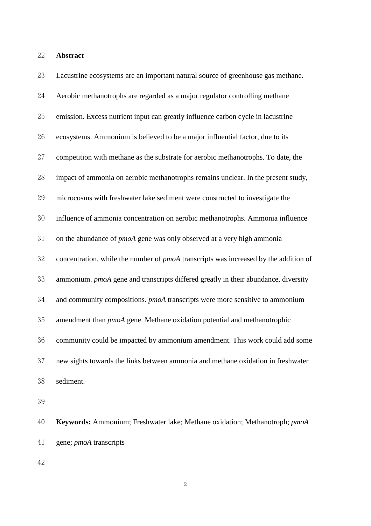**Abstract**

| 23 | Lacustrine ecosystems are an important natural source of greenhouse gas methane.     |
|----|--------------------------------------------------------------------------------------|
| 24 | Aerobic methanotrophs are regarded as a major regulator controlling methane          |
| 25 | emission. Excess nutrient input can greatly influence carbon cycle in lacustrine     |
| 26 | ecosystems. Ammonium is believed to be a major influential factor, due to its        |
| 27 | competition with methane as the substrate for aerobic methanotrophs. To date, the    |
| 28 | impact of ammonia on aerobic methanotrophs remains unclear. In the present study,    |
| 29 | microcosms with freshwater lake sediment were constructed to investigate the         |
| 30 | influence of ammonia concentration on aerobic methanotrophs. Ammonia influence       |
| 31 | on the abundance of <i>pmoA</i> gene was only observed at a very high ammonia        |
| 32 | concentration, while the number of pmoA transcripts was increased by the addition of |
| 33 | ammonium. pmoA gene and transcripts differed greatly in their abundance, diversity   |
| 34 | and community compositions. pmoA transcripts were more sensitive to ammonium         |
| 35 | amendment than pmoA gene. Methane oxidation potential and methanotrophic             |
| 36 | community could be impacted by ammonium amendment. This work could add some          |
| 37 | new sights towards the links between ammonia and methane oxidation in freshwater     |
| 38 | sediment.                                                                            |
| 39 |                                                                                      |
|    |                                                                                      |

 **Keywords:** Ammonium; Freshwater lake; Methane oxidation; Methanotroph; *pmoA* gene; *pmoA* transcripts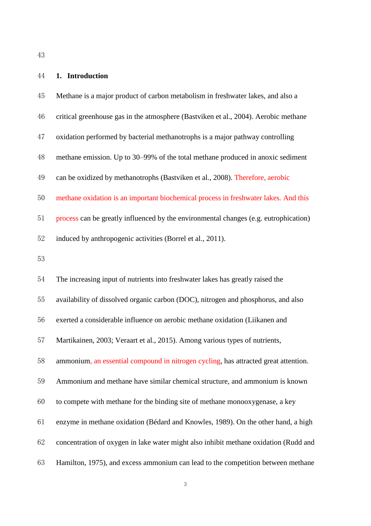### **1. Introduction**

| 45 | Methane is a major product of carbon metabolism in freshwater lakes, and also a      |
|----|--------------------------------------------------------------------------------------|
| 46 | critical greenhouse gas in the atmosphere (Bastviken et al., 2004). Aerobic methane  |
| 47 | oxidation performed by bacterial methanotrophs is a major pathway controlling        |
| 48 | methane emission. Up to 30–99% of the total methane produced in anoxic sediment      |
| 49 | can be oxidized by methanotrophs (Bastviken et al., 2008). Therefore, aerobic        |
| 50 | methane oxidation is an important biochemical process in freshwater lakes. And this  |
| 51 | process can be greatly influenced by the environmental changes (e.g. eutrophication) |
| 52 | induced by anthropogenic activities (Borrel et al., 2011).                           |
| 53 |                                                                                      |
| 54 | The increasing input of nutrients into freshwater lakes has greatly raised the       |
| 55 | availability of dissolved organic carbon (DOC), nitrogen and phosphorus, and also    |
| 56 | exerted a considerable influence on aerobic methane oxidation (Liikanen and          |
| 57 | Martikainen, 2003; Veraart et al., 2015). Among various types of nutrients,          |
| 58 | ammonium, an essential compound in nitrogen cycling, has attracted great attention.  |
| 59 | Ammonium and methane have similar chemical structure, and ammonium is known          |
| 60 | to compete with methane for the binding site of methane monooxygenase, a key         |
| 61 | enzyme in methane oxidation (Bédard and Knowles, 1989). On the other hand, a high    |
| 62 | concentration of oxygen in lake water might also inhibit methane oxidation (Rudd and |
| 63 | Hamilton, 1975), and excess ammonium can lead to the competition between methane     |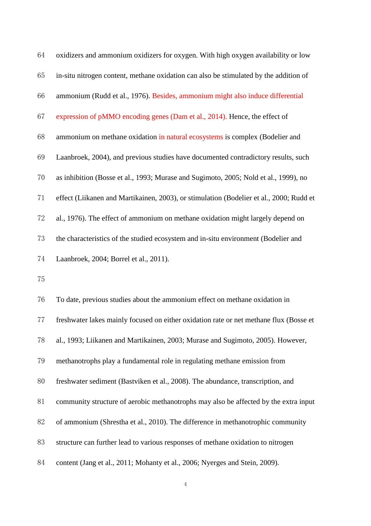| 64 | oxidizers and ammonium oxidizers for oxygen. With high oxygen availability or low       |
|----|-----------------------------------------------------------------------------------------|
| 65 | in-situ nitrogen content, methane oxidation can also be stimulated by the addition of   |
| 66 | ammonium (Rudd et al., 1976). Besides, ammonium might also induce differential          |
| 67 | expression of pMMO encoding genes (Dam et al., 2014). Hence, the effect of              |
| 68 | ammonium on methane oxidation in natural ecosystems is complex (Bodelier and            |
| 69 | Laanbroek, 2004), and previous studies have documented contradictory results, such      |
| 70 | as inhibition (Bosse et al., 1993; Murase and Sugimoto, 2005; Nold et al., 1999), no    |
| 71 | effect (Liikanen and Martikainen, 2003), or stimulation (Bodelier et al., 2000; Rudd et |
| 72 | al., 1976). The effect of ammonium on methane oxidation might largely depend on         |
| 73 | the characteristics of the studied ecosystem and in-situ environment (Bodelier and      |
| 74 | Laanbroek, 2004; Borrel et al., 2011).                                                  |
| 75 |                                                                                         |
| 76 | To date, previous studies about the ammonium effect on methane oxidation in             |
| 77 | freshwater lakes mainly focused on either oxidation rate or net methane flux (Bosse et  |
| 78 | al., 1993; Liikanen and Martikainen, 2003; Murase and Sugimoto, 2005). However,         |
| 79 | methanotrophs play a fundamental role in regulating methane emission from               |
| 80 | freshwater sediment (Bastviken et al., 2008). The abundance, transcription, and         |
| 81 | community structure of aerobic methanotrophs may also be affected by the extra input    |
| 82 | of ammonium (Shrestha et al., 2010). The difference in methanotrophic community         |
| 83 | structure can further lead to various responses of methane oxidation to nitrogen        |
| 84 | content (Jang et al., 2011; Mohanty et al., 2006; Nyerges and Stein, 2009).             |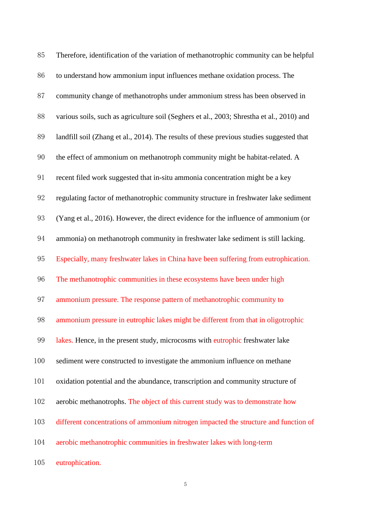| 85  | Therefore, identification of the variation of methanotrophic community can be helpful     |
|-----|-------------------------------------------------------------------------------------------|
| 86  | to understand how ammonium input influences methane oxidation process. The                |
| 87  | community change of methanotrophs under ammonium stress has been observed in              |
| 88  | various soils, such as agriculture soil (Seghers et al., 2003; Shrestha et al., 2010) and |
| 89  | landfill soil (Zhang et al., 2014). The results of these previous studies suggested that  |
| 90  | the effect of ammonium on methanotroph community might be habitat-related. A              |
| 91  | recent filed work suggested that in-situ ammonia concentration might be a key             |
| 92  | regulating factor of methanotrophic community structure in freshwater lake sediment       |
| 93  | (Yang et al., 2016). However, the direct evidence for the influence of ammonium (or       |
| 94  | ammonia) on methanotroph community in freshwater lake sediment is still lacking.          |
| 95  | Especially, many freshwater lakes in China have been suffering from eutrophication.       |
| 96  | The methanotrophic communities in these ecosystems have been under high                   |
| 97  | ammonium pressure. The response pattern of methanotrophic community to                    |
| 98  | ammonium pressure in eutrophic lakes might be different from that in oligotrophic         |
| 99  | lakes. Hence, in the present study, microcosms with eutrophic freshwater lake             |
| 100 | sediment were constructed to investigate the ammonium influence on methane                |
| 101 | oxidation potential and the abundance, transcription and community structure of           |
| 102 | aerobic methanotrophs. The object of this current study was to demonstrate how            |
| 103 | different concentrations of ammonium nitrogen impacted the structure and function of      |
| 104 | aerobic methanotrophic communities in freshwater lakes with long-term                     |
| 105 | eutrophication.                                                                           |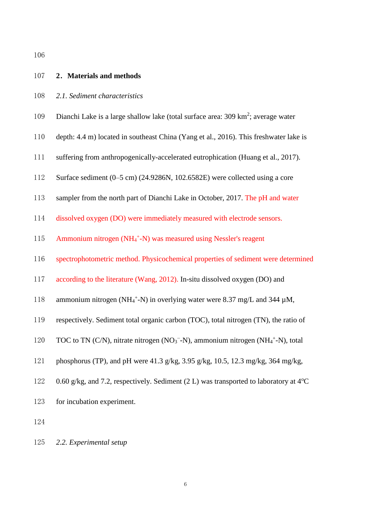| 107 | 2. Materials and methods                                                                                                        |
|-----|---------------------------------------------------------------------------------------------------------------------------------|
| 108 | 2.1. Sediment characteristics                                                                                                   |
| 109 | Dianchi Lake is a large shallow lake (total surface area: 309 km <sup>2</sup> ; average water                                   |
| 110 | depth: 4.4 m) located in southeast China (Yang et al., 2016). This freshwater lake is                                           |
| 111 | suffering from anthropogenically-accelerated eutrophication (Huang et al., 2017).                                               |
| 112 | Surface sediment $(0-5 \text{ cm})$ (24.9286N, 102.6582E) were collected using a core                                           |
| 113 | sampler from the north part of Dianchi Lake in October, 2017. The pH and water                                                  |
| 114 | dissolved oxygen (DO) were immediately measured with electrode sensors.                                                         |
| 115 | Ammonium nitrogen (NH <sub>4</sub> <sup>+</sup> -N) was measured using Nessler's reagent                                        |
| 116 | spectrophotometric method. Physicochemical properties of sediment were determined                                               |
| 117 | according to the literature (Wang, 2012). In-situ dissolved oxygen (DO) and                                                     |
| 118 | ammonium nitrogen (NH <sub>4</sub> <sup>+</sup> -N) in overlying water were 8.37 mg/L and 344 $\mu$ M,                          |
| 119 | respectively. Sediment total organic carbon (TOC), total nitrogen (TN), the ratio of                                            |
| 120 | TOC to TN (C/N), nitrate nitrogen (NO <sub>3</sub> <sup>-</sup> -N), ammonium nitrogen (NH <sub>4</sub> <sup>+</sup> -N), total |
| 121 | phosphorus (TP), and pH were $41.3$ g/kg, $3.95$ g/kg, $10.5$ , $12.3$ mg/kg, $364$ mg/kg,                                      |
| 122 | 0.60 g/kg, and 7.2, respectively. Sediment (2 L) was transported to laboratory at $4^{\circ}$ C                                 |
| 123 | for incubation experiment.                                                                                                      |
|     |                                                                                                                                 |

124

125 *2.2. Experimental setup*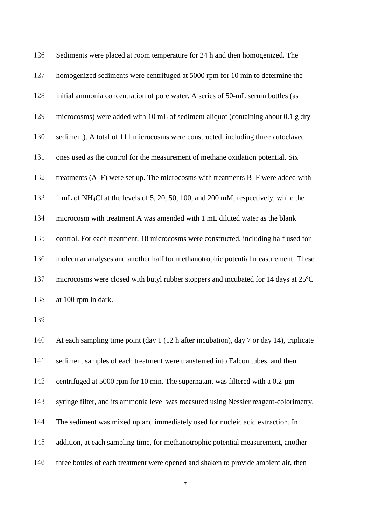| 126 | Sediments were placed at room temperature for 24 h and then homogenized. The                    |
|-----|-------------------------------------------------------------------------------------------------|
| 127 | homogenized sediments were centrifuged at 5000 rpm for 10 min to determine the                  |
| 128 | initial ammonia concentration of pore water. A series of 50-mL serum bottles (as                |
| 129 | microcosms) were added with 10 mL of sediment aliquot (containing about 0.1 g dry               |
| 130 | sediment). A total of 111 microcosms were constructed, including three autoclaved               |
| 131 | ones used as the control for the measurement of methane oxidation potential. Six                |
| 132 | treatments (A–F) were set up. The microcosms with treatments B–F were added with                |
| 133 | 1 mL of NH <sub>4</sub> Cl at the levels of 5, 20, 50, 100, and 200 mM, respectively, while the |
| 134 | microcosm with treatment A was amended with 1 mL diluted water as the blank                     |
| 135 | control. For each treatment, 18 microcosms were constructed, including half used for            |
| 136 | molecular analyses and another half for methanotrophic potential measurement. These             |
| 137 | microcosms were closed with butyl rubber stoppers and incubated for 14 days at 25°C             |
| 138 | at 100 rpm in dark.                                                                             |
| 139 |                                                                                                 |
| 140 | At each sampling time point (day 1 (12 h after incubation), day 7 or day 14), triplicate        |
| 141 | sediment samples of each treatment were transferred into Falcon tubes, and then                 |
| 142 | centrifuged at 5000 rpm for 10 min. The supernatant was filtered with a 0.2-um                  |
| 143 | syringe filter, and its ammonia level was measured using Nessler reagent-colorimetry.           |
| 144 | The sediment was mixed up and immediately used for nucleic acid extraction. In                  |
| 145 | addition, at each sampling time, for methanotrophic potential measurement, another              |

three bottles of each treatment were opened and shaken to provide ambient air, then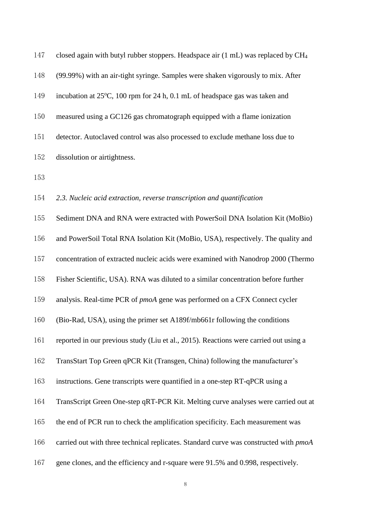| 147 | closed again with butyl rubber stoppers. Headspace air (1 mL) was replaced by CH <sub>4</sub> |
|-----|-----------------------------------------------------------------------------------------------|
| 148 | (99.99%) with an air-tight syringe. Samples were shaken vigorously to mix. After              |
| 149 | incubation at 25°C, 100 rpm for 24 h, 0.1 mL of headspace gas was taken and                   |
| 150 | measured using a GC126 gas chromatograph equipped with a flame ionization                     |
| 151 | detector. Autoclaved control was also processed to exclude methane loss due to                |
| 152 | dissolution or airtightness.                                                                  |
| 153 |                                                                                               |
| 154 | 2.3. Nucleic acid extraction, reverse transcription and quantification                        |
| 155 | Sediment DNA and RNA were extracted with PowerSoil DNA Isolation Kit (MoBio)                  |
| 156 | and PowerSoil Total RNA Isolation Kit (MoBio, USA), respectively. The quality and             |
| 157 | concentration of extracted nucleic acids were examined with Nanodrop 2000 (Thermo             |
| 158 | Fisher Scientific, USA). RNA was diluted to a similar concentration before further            |
| 159 | analysis. Real-time PCR of <i>pmoA</i> gene was performed on a CFX Connect cycler             |
| 160 | (Bio-Rad, USA), using the primer set A189f/mb661r following the conditions                    |
| 161 | reported in our previous study (Liu et al., 2015). Reactions were carried out using a         |
| 162 | TransStart Top Green qPCR Kit (Transgen, China) following the manufacturer's                  |
| 163 | instructions. Gene transcripts were quantified in a one-step RT-qPCR using a                  |
| 164 | TransScript Green One-step qRT-PCR Kit. Melting curve analyses were carried out at            |
| 165 | the end of PCR run to check the amplification specificity. Each measurement was               |
| 166 | carried out with three technical replicates. Standard curve was constructed with pmoA         |
| 167 | gene clones, and the efficiency and r-square were 91.5% and 0.998, respectively.              |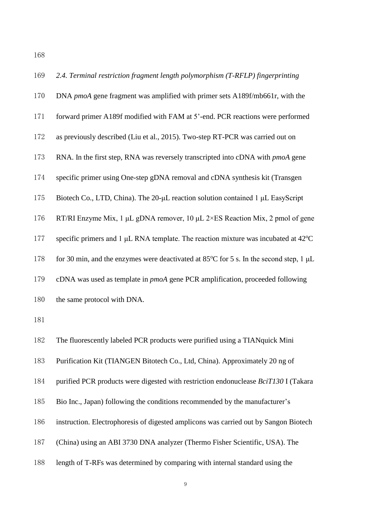*2.4. Terminal restriction fragment length polymorphism (T-RFLP) fingerprinting* DNA *pmoA* gene fragment was amplified with primer sets A189f/mb661r, with the forward primer A189f modified with FAM at 5'-end. PCR reactions were performed as previously described (Liu et al., 2015). Two-step RT-PCR was carried out on RNA. In the first step, RNA was reversely transcripted into cDNA with *pmoA* gene specific primer using One-step gDNA removal and cDNA synthesis kit (Transgen Biotech Co., LTD, China). The 20-μL reaction solution contained 1 μL EasyScript RT/RI Enzyme Mix, 1 μL gDNA remover, 10 μL 2×ES Reaction Mix, 2 pmol of gene 177 specific primers and 1  $\mu$ L RNA template. The reaction mixture was incubated at 42°C 178 for 30 min, and the enzymes were deactivated at 85 $\mathrm{^{\circ}C}$  for 5 s. In the second step, 1 µL cDNA was used as template in *pmoA* gene PCR amplification, proceeded following the same protocol with DNA. The fluorescently labeled PCR products were purified using a TIANquick Mini Purification Kit (TIANGEN Bitotech Co., Ltd, China). Approximately 20 ng of purified PCR products were digested with restriction endonuclease *BciT130* I (Takara Bio Inc., Japan) following the conditions recommended by the manufacturer's instruction. Electrophoresis of digested amplicons was carried out by Sangon Biotech (China) using an ABI 3730 DNA analyzer (Thermo Fisher Scientific, USA). The length of T-RFs was determined by comparing with internal standard using the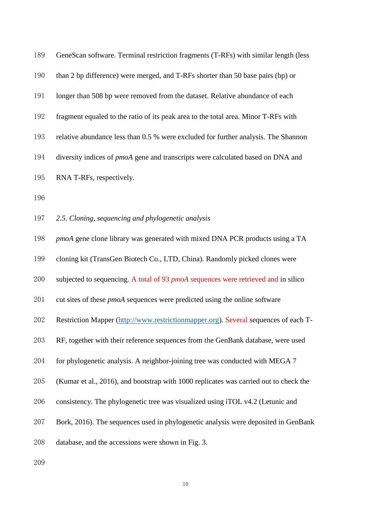| 189 | GeneScan software. Terminal restriction fragments (T-RFs) with similar length (less    |
|-----|----------------------------------------------------------------------------------------|
| 190 | than 2 bp difference) were merged, and T-RFs shorter than 50 base pairs (bp) or        |
| 191 | longer than 508 bp were removed from the dataset. Relative abundance of each           |
| 192 | fragment equaled to the ratio of its peak area to the total area. Minor T-RFs with     |
| 193 | relative abundance less than 0.5 % were excluded for further analysis. The Shannon     |
| 194 | diversity indices of <i>pmoA</i> gene and transcripts were calculated based on DNA and |
| 195 | RNA T-RFs, respectively.                                                               |
| 196 |                                                                                        |
| 197 | 2.5. Cloning, sequencing and phylogenetic analysis                                     |
| 198 | <i>pmoA</i> gene clone library was generated with mixed DNA PCR products using a TA    |
| 199 | cloning kit (TransGen Biotech Co., LTD, China). Randomly picked clones were            |
| 200 | subjected to sequencing. A total of 93 pmoA sequences were retrieved and in silico     |
| 201 | cut sites of these pmoA sequences were predicted using the online software             |
| 202 | Restriction Mapper (http://www.restrictionmapper.org). Several sequences of each T-    |
| 203 | RF, together with their reference sequences from the GenBank database, were used       |
| 204 | for phylogenetic analysis. A neighbor-joining tree was conducted with MEGA 7           |
| 205 | (Kumar et al., 2016), and bootstrap with 1000 replicates was carried out to check the  |
| 206 | consistency. The phylogenetic tree was visualized using iTOL v4.2 (Letunic and         |
| 207 | Bork, 2016). The sequences used in phylogenetic analysis were deposited in GenBank     |
| 208 | database, and the accessions were shown in Fig. 3.                                     |
| 209 |                                                                                        |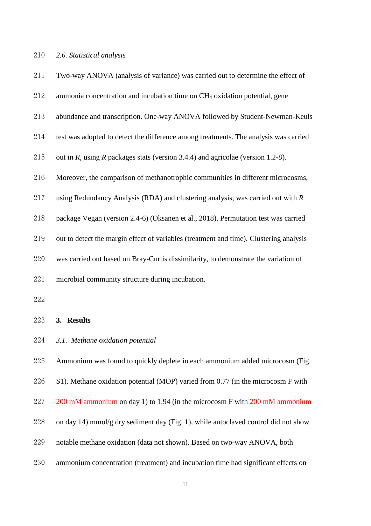#### *2.6. Statistical analysis*

| 211 | Two-way ANOVA (analysis of variance) was carried out to determine the effect of        |
|-----|----------------------------------------------------------------------------------------|
| 212 | ammonia concentration and incubation time on CH <sub>4</sub> oxidation potential, gene |
| 213 | abundance and transcription. One-way ANOVA followed by Student-Newman-Keuls            |
| 214 | test was adopted to detect the difference among treatments. The analysis was carried   |
| 215 | out in R, using R packages stats (version 3.4.4) and agricolae (version 1.2-8).        |
| 216 | Moreover, the comparison of methanotrophic communities in different microcosms,        |
| 217 | using Redundancy Analysis (RDA) and clustering analysis, was carried out with $R$      |
| 218 | package Vegan (version 2.4-6) (Oksanen et al., 2018). Permutation test was carried     |
| 219 | out to detect the margin effect of variables (treatment and time). Clustering analysis |
| 220 | was carried out based on Bray-Curtis dissimilarity, to demonstrate the variation of    |
| 221 | microbial community structure during incubation.                                       |
| 222 |                                                                                        |
| 223 | 3. Results                                                                             |

*3.1. Methane oxidation potential*

 Ammonium was found to quickly deplete in each ammonium added microcosm (Fig. S1). Methane oxidation potential (MOP) varied from 0.77 (in the microcosm F with 227 200 mM ammonium on day 1) to 1.94 (in the microcosm F with 200 mM ammonium on day 14) mmol/g dry sediment day (Fig. 1), while autoclaved control did not show notable methane oxidation (data not shown). Based on two-way ANOVA, both ammonium concentration (treatment) and incubation time had significant effects on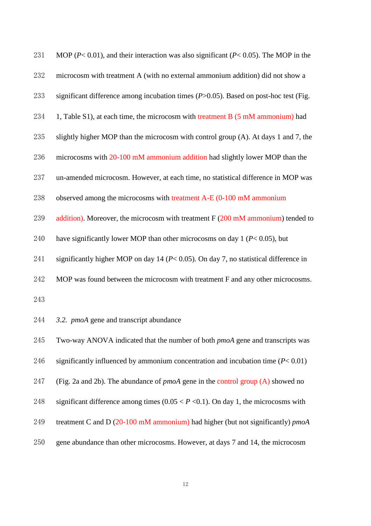| 231 | MOP ( $P < 0.01$ ), and their interaction was also significant ( $P < 0.05$ ). The MOP in the |
|-----|-----------------------------------------------------------------------------------------------|
| 232 | microcosm with treatment A (with no external ammonium addition) did not show a                |
| 233 | significant difference among incubation times $(P>0.05)$ . Based on post-hoc test (Fig.       |
| 234 | 1, Table S1), at each time, the microcosm with treatment B (5 mM ammonium) had                |
| 235 | slightly higher MOP than the microcosm with control group (A). At days 1 and 7, the           |
| 236 | microcosms with 20-100 mM ammonium addition had slightly lower MOP than the                   |
| 237 | un-amended microcosm. However, at each time, no statistical difference in MOP was             |
| 238 | observed among the microcosms with treatment A-E (0-100 mM ammonium                           |
| 239 | addition). Moreover, the microcosm with treatment $F(200 \text{ mM }$ ammonium) tended to     |
| 240 | have significantly lower MOP than other microcosms on day 1 ( $P < 0.05$ ), but               |
| 241 | significantly higher MOP on day 14 ( $P < 0.05$ ). On day 7, no statistical difference in     |
| 242 | MOP was found between the microcosm with treatment F and any other microcosms.                |
| 243 |                                                                                               |
| 244 | 3.2. <i>pmoA</i> gene and transcript abundance                                                |
| 245 | Two-way ANOVA indicated that the number of both pmoA gene and transcripts was                 |
| 246 | significantly influenced by ammonium concentration and incubation time $(P< 0.01)$            |
| 247 | (Fig. 2a and 2b). The abundance of $pmod$ gene in the control group (A) showed no             |
| 248 | significant difference among times $(0.05 < P < 0.1)$ . On day 1, the microcosms with         |
| 249 | treatment C and D $(20-100 \text{ mM ammonium})$ had higher (but not significantly) pmoA      |
| 250 | gene abundance than other microcosms. However, at days 7 and 14, the microcosm                |
|     |                                                                                               |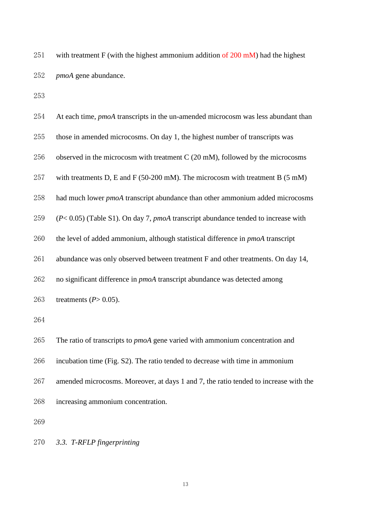251 with treatment F (with the highest ammonium addition of mM) had the highest *pmoA* gene abundance.

| 254 | At each time, <i>pmoA</i> transcripts in the un-amended microcosm was less abundant than |
|-----|------------------------------------------------------------------------------------------|
| 255 | those in amended microcosms. On day 1, the highest number of transcripts was             |
| 256 | observed in the microcosm with treatment $C(20 \text{ mM})$ , followed by the microcosms |
| 257 | with treatments D, E and F (50-200 mM). The microcosm with treatment B (5 mM)            |
| 258 | had much lower <i>pmoA</i> transcript abundance than other ammonium added microcosms     |
| 259 | $(P< 0.05)$ (Table S1). On day 7, pmoA transcript abundance tended to increase with      |
| 260 | the level of added ammonium, although statistical difference in <i>pmoA</i> transcript   |
| 261 | abundance was only observed between treatment F and other treatments. On day 14,         |
| 262 | no significant difference in pmoA transcript abundance was detected among                |
| 263 | treatments $(P>0.05)$ .                                                                  |
| 264 |                                                                                          |
| 265 | The ratio of transcripts to <i>pmoA</i> gene varied with ammonium concentration and      |
| 266 | incubation time (Fig. S2). The ratio tended to decrease with time in ammonium            |
| 267 | amended microcosms. Moreover, at days 1 and 7, the ratio tended to increase with the     |
| 268 | increasing ammonium concentration.                                                       |
| 269 |                                                                                          |

*3.3. T-RFLP fingerprinting*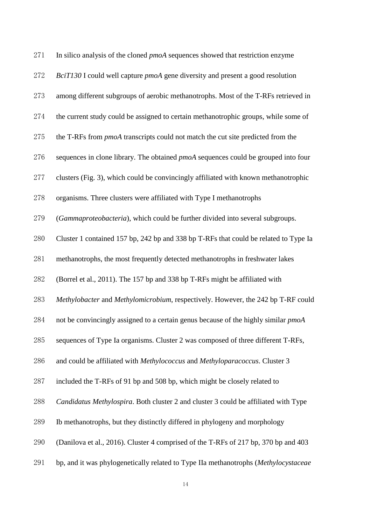| 271 | In silico analysis of the cloned <i>pmoA</i> sequences showed that restriction enzyme     |
|-----|-------------------------------------------------------------------------------------------|
| 272 | BciT130 I could well capture <i>pmoA</i> gene diversity and present a good resolution     |
| 273 | among different subgroups of aerobic methanotrophs. Most of the T-RFs retrieved in        |
| 274 | the current study could be assigned to certain methanotrophic groups, while some of       |
| 275 | the T-RFs from <i>pmoA</i> transcripts could not match the cut site predicted from the    |
| 276 | sequences in clone library. The obtained <i>pmoA</i> sequences could be grouped into four |
| 277 | clusters (Fig. 3), which could be convincingly affiliated with known methanotrophic       |
| 278 | organisms. Three clusters were affiliated with Type I methanotrophs                       |
| 279 | (Gammaproteobacteria), which could be further divided into several subgroups.             |
| 280 | Cluster 1 contained 157 bp, 242 bp and 338 bp T-RFs that could be related to Type Ia      |
| 281 | methanotrophs, the most frequently detected methanotrophs in freshwater lakes             |
| 282 | (Borrel et al., 2011). The 157 bp and 338 bp T-RFs might be affiliated with               |
| 283 | Methylobacter and Methylomicrobium, respectively. However, the 242 bp T-RF could          |
| 284 | not be convincingly assigned to a certain genus because of the highly similar pmoA        |
| 285 | sequences of Type Ia organisms. Cluster 2 was composed of three different T-RFs,          |
| 286 | and could be affiliated with Methylococcus and Methyloparacoccus. Cluster 3               |
| 287 | included the T-RFs of 91 bp and 508 bp, which might be closely related to                 |
| 288 | Candidatus Methylospira. Both cluster 2 and cluster 3 could be affiliated with Type       |
| 289 | Ib methanotrophs, but they distinctly differed in phylogeny and morphology                |
| 290 | (Danilova et al., 2016). Cluster 4 comprised of the T-RFs of 217 bp, 370 bp and 403       |
| 291 | bp, and it was phylogenetically related to Type IIa methanotrophs (Methylocystaceae       |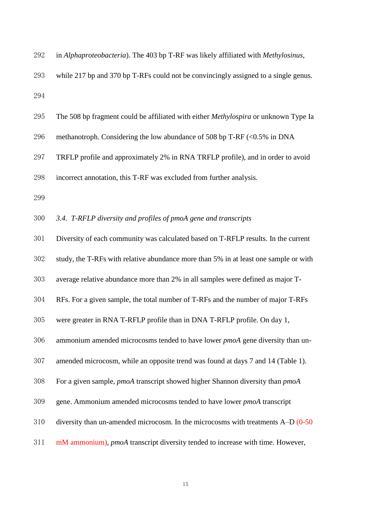| 292 | in Alphaproteobacteria). The 403 bp T-RF was likely affiliated with Methylosinus,           |
|-----|---------------------------------------------------------------------------------------------|
| 293 | while 217 bp and 370 bp T-RFs could not be convincingly assigned to a single genus.         |
| 294 |                                                                                             |
| 295 | The 508 bp fragment could be affiliated with either <i>Methylospira</i> or unknown Type Ia  |
| 296 | methanotroph. Considering the low abundance of 508 bp T-RF (<0.5% in DNA                    |
| 297 | TRFLP profile and approximately 2% in RNA TRFLP profile), and in order to avoid             |
| 298 | incorrect annotation, this T-RF was excluded from further analysis.                         |
| 299 |                                                                                             |
| 300 | 3.4. T-RFLP diversity and profiles of pmoA gene and transcripts                             |
| 301 | Diversity of each community was calculated based on T-RFLP results. In the current          |
| 302 | study, the T-RFs with relative abundance more than 5% in at least one sample or with        |
| 303 | average relative abundance more than 2% in all samples were defined as major T-             |
| 304 | RFs. For a given sample, the total number of T-RFs and the number of major T-RFs            |
| 305 | were greater in RNA T-RFLP profile than in DNA T-RFLP profile. On day 1,                    |
| 306 | ammonium amended microcosms tended to have lower <i>pmoA</i> gene diversity than un-        |
| 307 | amended microcosm, while an opposite trend was found at days 7 and 14 (Table 1).            |
| 308 | For a given sample, <i>pmoA</i> transcript showed higher Shannon diversity than <i>pmoA</i> |
| 309 | gene. Ammonium amended microcosms tended to have lower <i>pmoA</i> transcript               |
| 310 | diversity than un-amended microcosm. In the microcosms with treatments $A-D(0-50)$          |
| 311 | mM ammonium), pmoA transcript diversity tended to increase with time. However,              |
|     |                                                                                             |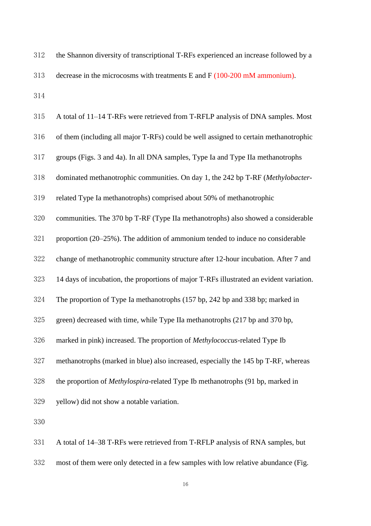| 312 | the Shannon diversity of transcriptional T-RFs experienced an increase followed by a |
|-----|--------------------------------------------------------------------------------------|
| 313 | decrease in the microcosms with treatments E and $F(100-200 \text{ mM ammonium})$ .  |
| 314 |                                                                                      |

| 315 | A total of 11-14 T-RFs were retrieved from T-RFLP analysis of DNA samples. Most         |
|-----|-----------------------------------------------------------------------------------------|
| 316 | of them (including all major T-RFs) could be well assigned to certain methanotrophic    |
| 317 | groups (Figs. 3 and 4a). In all DNA samples, Type Ia and Type IIa methanotrophs         |
| 318 | dominated methanotrophic communities. On day 1, the 242 bp T-RF (Methylobacter-         |
| 319 | related Type Ia methanotrophs) comprised about 50% of methanotrophic                    |
| 320 | communities. The 370 bp T-RF (Type IIa methanotrophs) also showed a considerable        |
| 321 | proportion $(20-25%)$ . The addition of ammonium tended to induce no considerable       |
| 322 | change of methanotrophic community structure after 12-hour incubation. After 7 and      |
| 323 | 14 days of incubation, the proportions of major T-RFs illustrated an evident variation. |
| 324 | The proportion of Type Ia methanotrophs (157 bp, 242 bp and 338 bp; marked in           |
| 325 | green) decreased with time, while Type IIa methanotrophs (217 bp and 370 bp,            |
| 326 | marked in pink) increased. The proportion of Methylococcus-related Type Ib              |
| 327 | methanotrophs (marked in blue) also increased, especially the 145 bp T-RF, whereas      |
| 328 | the proportion of Methylospira-related Type Ib methanotrophs (91 bp, marked in          |
| 329 | yellow) did not show a notable variation.                                               |
| 330 |                                                                                         |
| 331 | A total of 14–38 T-RFs were retrieved from T-RFLP analysis of RNA samples, but          |

most of them were only detected in a few samples with low relative abundance (Fig.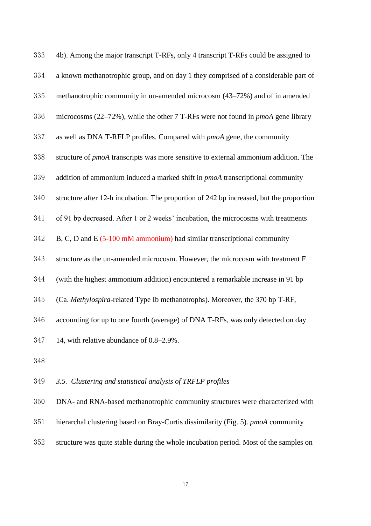| 333 | 4b). Among the major transcript T-RFs, only 4 transcript T-RFs could be assigned to        |
|-----|--------------------------------------------------------------------------------------------|
| 334 | a known methanotrophic group, and on day 1 they comprised of a considerable part of        |
| 335 | methanotrophic community in un-amended microcosm (43–72%) and of in amended                |
| 336 | microcosms $(22-72%)$ , while the other 7 T-RFs were not found in <i>pmoA</i> gene library |
| 337 | as well as DNA T-RFLP profiles. Compared with <i>pmoA</i> gene, the community              |
| 338 | structure of <i>pmoA</i> transcripts was more sensitive to external ammonium addition. The |
| 339 | addition of ammonium induced a marked shift in pmoA transcriptional community              |
| 340 | structure after 12-h incubation. The proportion of 242 bp increased, but the proportion    |
| 341 | of 91 bp decreased. After 1 or 2 weeks' incubation, the microcosms with treatments         |
| 342 | B, C, D and E $(5-100 \text{ mM ammonium})$ had similar transcriptional community          |
| 343 | structure as the un-amended microcosm. However, the microcosm with treatment F             |
| 344 | (with the highest ammonium addition) encountered a remarkable increase in 91 bp            |
| 345 | (Ca. Methylospira-related Type Ib methanotrophs). Moreover, the 370 bp T-RF,               |
| 346 | accounting for up to one fourth (average) of DNA T-RFs, was only detected on day           |
| 347 | 14, with relative abundance of 0.8–2.9%.                                                   |
| 348 |                                                                                            |
| 349 | 3.5. Clustering and statistical analysis of TRFLP profiles                                 |
| 350 | DNA- and RNA-based methanotrophic community structures were characterized with             |
|     |                                                                                            |

structure was quite stable during the whole incubation period. Most of the samples on

hierarchal clustering based on Bray-Curtis dissimilarity (Fig. 5). *pmoA* community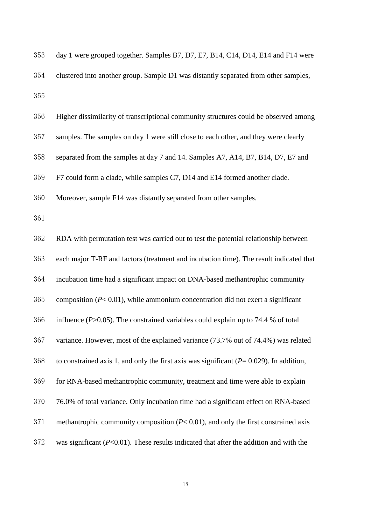| 353 | day 1 were grouped together. Samples B7, D7, E7, B14, C14, D14, E14 and F14 were             |
|-----|----------------------------------------------------------------------------------------------|
| 354 | clustered into another group. Sample D1 was distantly separated from other samples,          |
| 355 |                                                                                              |
| 356 | Higher dissimilarity of transcriptional community structures could be observed among         |
| 357 | samples. The samples on day 1 were still close to each other, and they were clearly          |
| 358 | separated from the samples at day 7 and 14. Samples A7, A14, B7, B14, D7, E7 and             |
| 359 | F7 could form a clade, while samples C7, D14 and E14 formed another clade.                   |
| 360 | Moreover, sample F14 was distantly separated from other samples.                             |
| 361 |                                                                                              |
| 362 | RDA with permutation test was carried out to test the potential relationship between         |
| 363 | each major T-RF and factors (treatment and incubation time). The result indicated that       |
| 364 | incubation time had a significant impact on DNA-based methantrophic community                |
| 365 | composition ( $P < 0.01$ ), while ammonium concentration did not exert a significant         |
| 366 | influence ( $P > 0.05$ ). The constrained variables could explain up to 74.4 % of total      |
| 367 | variance. However, most of the explained variance (73.7% out of 74.4%) was related           |
| 368 | to constrained axis 1, and only the first axis was significant ( $P = 0.029$ ). In addition, |
| 369 | for RNA-based methantrophic community, treatment and time were able to explain               |
| 370 | 76.0% of total variance. Only incubation time had a significant effect on RNA-based          |
| 371 | methantrophic community composition $(P< 0.01)$ , and only the first constrained axis        |
| 372 | was significant $(P<0.01)$ . These results indicated that after the addition and with the    |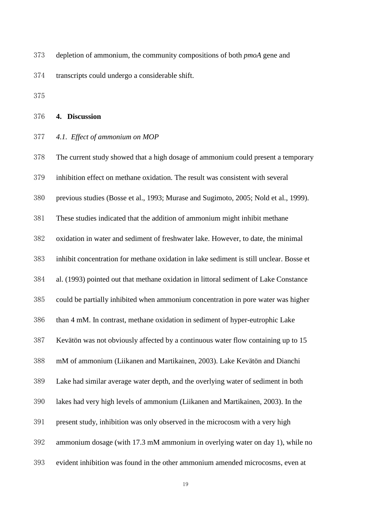depletion of ammonium, the community compositions of both *pmoA* gene and

transcripts could undergo a considerable shift.

#### **4. Discussion**

*4.1. Effect of ammonium on MOP*

 The current study showed that a high dosage of ammonium could present a temporary inhibition effect on methane oxidation. The result was consistent with several previous studies (Bosse et al., 1993; Murase and Sugimoto, 2005; Nold et al., 1999). These studies indicated that the addition of ammonium might inhibit methane oxidation in water and sediment of freshwater lake. However, to date, the minimal inhibit concentration for methane oxidation in lake sediment is still unclear. Bosse et al. (1993) pointed out that methane oxidation in littoral sediment of Lake Constance could be partially inhibited when ammonium concentration in pore water was higher than 4 mM. In contrast, methane oxidation in sediment of hyper-eutrophic Lake Kevätön was not obviously affected by a continuous water flow containing up to 15 mM of ammonium (Liikanen and Martikainen, 2003). Lake Kevätön and Dianchi Lake had similar average water depth, and the overlying water of sediment in both lakes had very high levels of ammonium (Liikanen and Martikainen, 2003). In the present study, inhibition was only observed in the microcosm with a very high ammonium dosage (with 17.3 mM ammonium in overlying water on day 1), while no evident inhibition was found in the other ammonium amended microcosms, even at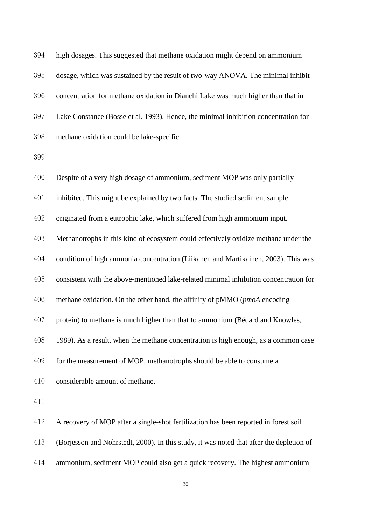| 394 | high dosages. This suggested that methane oxidation might depend on ammonium             |
|-----|------------------------------------------------------------------------------------------|
| 395 | dosage, which was sustained by the result of two-way ANOVA. The minimal inhibit          |
| 396 | concentration for methane oxidation in Dianchi Lake was much higher than that in         |
| 397 | Lake Constance (Bosse et al. 1993). Hence, the minimal inhibition concentration for      |
| 398 | methane oxidation could be lake-specific.                                                |
| 399 |                                                                                          |
| 400 | Despite of a very high dosage of ammonium, sediment MOP was only partially               |
| 401 | inhibited. This might be explained by two facts. The studied sediment sample             |
| 402 | originated from a eutrophic lake, which suffered from high ammonium input.               |
| 403 | Methanotrophs in this kind of ecosystem could effectively oxidize methane under the      |
| 404 | condition of high ammonia concentration (Liikanen and Martikainen, 2003). This was       |
| 405 | consistent with the above-mentioned lake-related minimal inhibition concentration for    |
| 406 | methane oxidation. On the other hand, the affinity of pMMO (pmoA encoding                |
| 407 | protein) to methane is much higher than that to ammonium (Bédard and Knowles,            |
| 408 | 1989). As a result, when the methane concentration is high enough, as a common case      |
| 409 | for the measurement of MOP, methanotrophs should be able to consume a                    |
| 410 | considerable amount of methane.                                                          |
| 411 |                                                                                          |
| 412 | A recovery of MOP after a single-shot fertilization has been reported in forest soil     |
| 413 | (Borjesson and Nohrstedt, 2000). In this study, it was noted that after the depletion of |

ammonium, sediment MOP could also get a quick recovery. The highest ammonium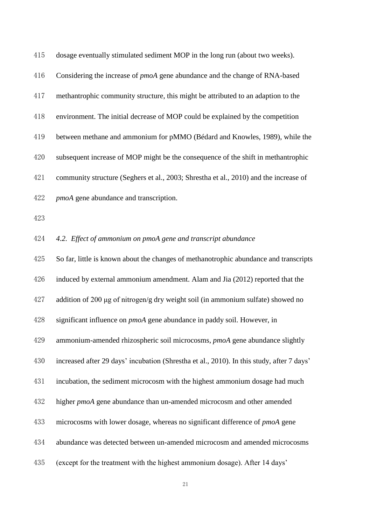| 415 | dosage eventually stimulated sediment MOP in the long run (about two weeks).              |
|-----|-------------------------------------------------------------------------------------------|
| 416 | Considering the increase of <i>pmoA</i> gene abundance and the change of RNA-based        |
| 417 | methantrophic community structure, this might be attributed to an adaption to the         |
| 418 | environment. The initial decrease of MOP could be explained by the competition            |
| 419 | between methane and ammonium for pMMO (Bédard and Knowles, 1989), while the               |
| 420 | subsequent increase of MOP might be the consequence of the shift in methantrophic         |
| 421 | community structure (Seghers et al., 2003; Shrestha et al., 2010) and the increase of     |
| 422 | <i>pmoA</i> gene abundance and transcription.                                             |
| 423 |                                                                                           |
| 424 | 4.2. Effect of ammonium on pmoA gene and transcript abundance                             |
| 425 | So far, little is known about the changes of methanotrophic abundance and transcripts     |
| 426 | induced by external ammonium amendment. Alam and Jia (2012) reported that the             |
| 427 | addition of 200 $\mu$ g of nitrogen/g dry weight soil (in ammonium sulfate) showed no     |
| 428 | significant influence on <i>pmoA</i> gene abundance in paddy soil. However, in            |
| 429 | ammonium-amended rhizospheric soil microcosms, pmoA gene abundance slightly               |
| 430 | increased after 29 days' incubation (Shrestha et al., 2010). In this study, after 7 days' |
| 431 | incubation, the sediment microcosm with the highest ammonium dosage had much              |
| 432 | higher <i>pmoA</i> gene abundance than un-amended microcosm and other amended             |
| 433 | microcosms with lower dosage, whereas no significant difference of <i>pmoA</i> gene       |
| 434 | abundance was detected between un-amended microcosm and amended microcosms                |
| 435 | (except for the treatment with the highest ammonium dosage). After 14 days'               |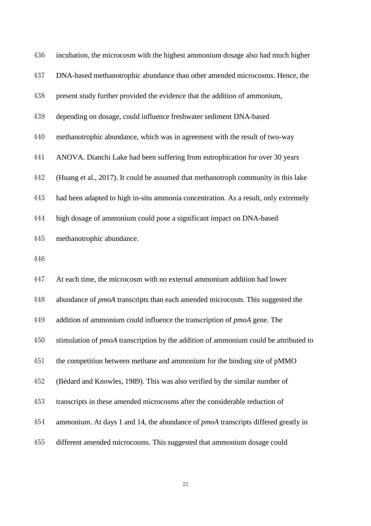| 436 | incubation, the microcosm with the highest ammonium dosage also had much higher             |
|-----|---------------------------------------------------------------------------------------------|
| 437 | DNA-based methanotrophic abundance than other amended microcosms. Hence, the                |
| 438 | present study further provided the evidence that the addition of ammonium,                  |
| 439 | depending on dosage, could influence freshwater sediment DNA-based                          |
| 440 | methanotrophic abundance, which was in agreement with the result of two-way                 |
| 441 | ANOVA. Dianchi Lake had been suffering from eutrophication for over 30 years                |
| 442 | (Huang et al., 2017). It could be assumed that methanotroph community in this lake          |
| 443 | had been adapted to high in-situ ammonia concentration. As a result, only extremely         |
| 444 | high dosage of ammonium could pose a significant impact on DNA-based                        |
| 445 | methanotrophic abundance.                                                                   |
| 446 |                                                                                             |
| 447 | At each time, the microcosm with no external ammonium addition had lower                    |
| 448 | abundance of pmoA transcripts than each amended microcosm. This suggested the               |
| 449 | addition of ammonium could influence the transcription of pmoA gene. The                    |
| 450 | stimulation of <i>pmoA</i> transcription by the addition of ammonium could be attributed to |
| 451 | the competition between methane and ammonium for the binding site of pMMO                   |
| 452 | (Bédard and Knowles, 1989). This was also verified by the similar number of                 |
| 453 | transcripts in these amended microcosms after the considerable reduction of                 |
| 454 | ammonium. At days 1 and 14, the abundance of <i>pmoA</i> transcripts differed greatly in    |
| 455 | different amended microcosms. This suggested that ammonium dosage could                     |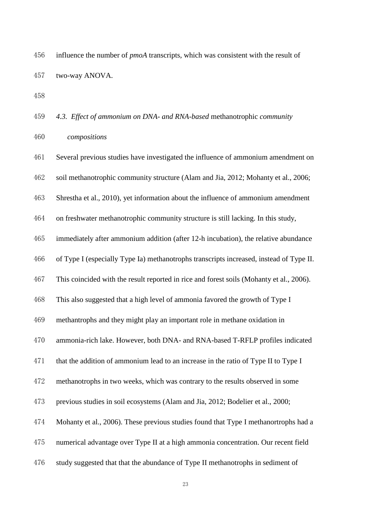influence the number of *pmoA* transcripts, which was consistent with the result of two-way ANOVA.

 *4.3. Effect of ammonium on DNA- and RNA-based* methanotrophic *community compositions*

 Several previous studies have investigated the influence of ammonium amendment on soil methanotrophic community structure (Alam and Jia, 2012; Mohanty et al., 2006; Shrestha et al., 2010), yet information about the influence of ammonium amendment on freshwater methanotrophic community structure is still lacking. In this study, immediately after ammonium addition (after 12-h incubation), the relative abundance of Type I (especially Type Ia) methanotrophs transcripts increased, instead of Type II. This coincided with the result reported in rice and forest soils (Mohanty et al., 2006). This also suggested that a high level of ammonia favored the growth of Type I methantrophs and they might play an important role in methane oxidation in ammonia-rich lake. However, both DNA- and RNA-based T-RFLP profiles indicated that the addition of ammonium lead to an increase in the ratio of Type II to Type I methanotrophs in two weeks, which was contrary to the results observed in some previous studies in soil ecosystems (Alam and Jia, 2012; Bodelier et al., 2000; Mohanty et al., 2006). These previous studies found that Type I methanortrophs had a numerical advantage over Type II at a high ammonia concentration. Our recent field study suggested that that the abundance of Type II methanotrophs in sediment of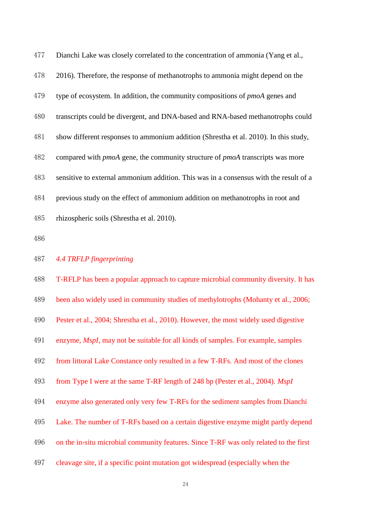| 477 | Dianchi Lake was closely correlated to the concentration of ammonia (Yang et al.,           |
|-----|---------------------------------------------------------------------------------------------|
| 478 | 2016). Therefore, the response of methanotrophs to ammonia might depend on the              |
| 479 | type of ecosystem. In addition, the community compositions of <i>pmoA</i> genes and         |
| 480 | transcripts could be divergent, and DNA-based and RNA-based methanotrophs could             |
| 481 | show different responses to ammonium addition (Shrestha et al. 2010). In this study,        |
| 482 | compared with <i>pmoA</i> gene, the community structure of <i>pmoA</i> transcripts was more |
| 483 | sensitive to external ammonium addition. This was in a consensus with the result of a       |
| 484 | previous study on the effect of ammonium addition on methanotrophs in root and              |
| 485 | rhizospheric soils (Shrestha et al. 2010).                                                  |

# *4.4 TRFLP fingerprinting*

| 488 | T-RFLP has been a popular approach to capture microbial community diversity. It has      |
|-----|------------------------------------------------------------------------------------------|
| 489 | been also widely used in community studies of methylotrophs (Mohanty et al., 2006;       |
| 490 | Pester et al., 2004; Shrestha et al., 2010). However, the most widely used digestive     |
| 491 | enzyme, <i>MspI</i> , may not be suitable for all kinds of samples. For example, samples |
| 492 | from littoral Lake Constance only resulted in a few T-RFs. And most of the clones        |
| 493 | from Type I were at the same T-RF length of 248 bp (Pester et al., 2004). MspI           |
| 494 | enzyme also generated only very few T-RFs for the sediment samples from Dianchi          |
| 495 | Lake. The number of T-RFs based on a certain digestive enzyme might partly depend        |
| 496 | on the in-situ microbial community features. Since T-RF was only related to the first    |
| 497 | cleavage site, if a specific point mutation got widespread (especially when the          |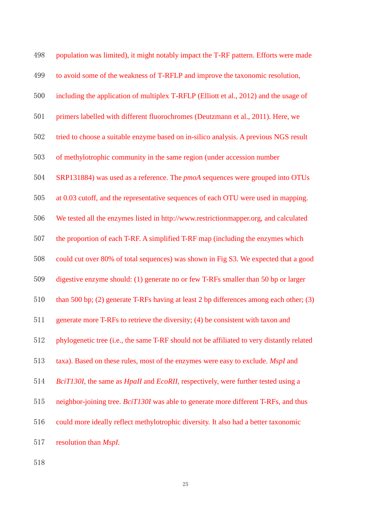| 498 | population was limited), it might notably impact the T-RF pattern. Efforts were made       |
|-----|--------------------------------------------------------------------------------------------|
| 499 | to avoid some of the weakness of T-RFLP and improve the taxonomic resolution,              |
| 500 | including the application of multiplex T-RFLP (Elliott et al., 2012) and the usage of      |
| 501 | primers labelled with different fluorochromes (Deutzmann et al., 2011). Here, we           |
| 502 | tried to choose a suitable enzyme based on in-silico analysis. A previous NGS result       |
| 503 | of methylotrophic community in the same region (under accession number                     |
| 504 | SRP131884) was used as a reference. The <i>pmoA</i> sequences were grouped into OTUs       |
| 505 | at 0.03 cutoff, and the representative sequences of each OTU were used in mapping.         |
| 506 | We tested all the enzymes listed in http://www.restrictionmapper.org, and calculated       |
| 507 | the proportion of each T-RF. A simplified T-RF map (including the enzymes which            |
| 508 | could cut over 80% of total sequences) was shown in Fig S3. We expected that a good        |
| 509 | digestive enzyme should: (1) generate no or few T-RFs smaller than 50 bp or larger         |
| 510 | than 500 bp; (2) generate T-RFs having at least 2 bp differences among each other; (3)     |
| 511 | generate more T-RFs to retrieve the diversity; (4) be consistent with taxon and            |
| 512 | phylogenetic tree (i.e., the same T-RF should not be affiliated to very distantly related  |
| 513 | taxa). Based on these rules, most of the enzymes were easy to exclude. MspI and            |
| 514 | BciT130I, the same as HpaII and EcoRII, respectively, were further tested using a          |
| 515 | neighbor-joining tree. <i>BciT130I</i> was able to generate more different T-RFs, and thus |
| 516 | could more ideally reflect methylotrophic diversity. It also had a better taxonomic        |
| 517 | resolution than <i>MspI</i> .                                                              |
|     |                                                                                            |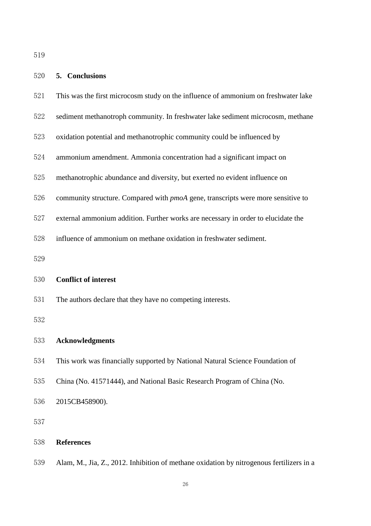- This was the first microcosm study on the influence of ammonium on freshwater lake
- sediment methanotroph community. In freshwater lake sediment microcosm, methane
- oxidation potential and methanotrophic community could be influenced by
- ammonium amendment. Ammonia concentration had a significant impact on
- methanotrophic abundance and diversity, but exerted no evident influence on
- community structure. Compared with *pmoA* gene, transcripts were more sensitive to
- external ammonium addition. Further works are necessary in order to elucidate the
- influence of ammonium on methane oxidation in freshwater sediment.

#### **Conflict of interest**

The authors declare that they have no competing interests.

#### **Acknowledgments**

- This work was financially supported by National Natural Science Foundation of
- China (No. 41571444), and National Basic Research Program of China (No.

2015CB458900).

#### **References**

Alam, M., Jia, Z., 2012. Inhibition of methane oxidation by nitrogenous fertilizers in a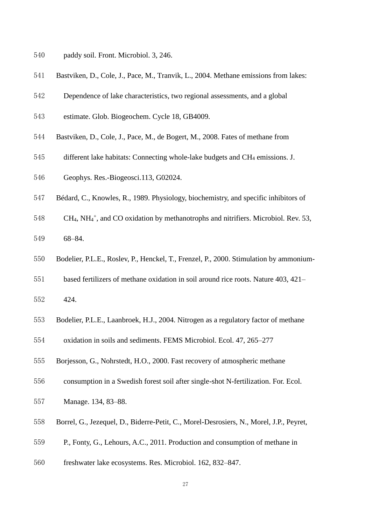- paddy soil. Front. Microbiol. 3, 246.
- Bastviken, D., Cole, J., Pace, M., Tranvik, L., 2004. Methane emissions from lakes:
- Dependence of lake characteristics, two regional assessments, and a global
- estimate. Glob. Biogeochem. Cycle 18, GB4009.
- Bastviken, D., Cole, J., Pace, M., de Bogert, M., 2008. Fates of methane from
- different lake habitats: Connecting whole-lake budgets and CH<sup>4</sup> emissions. J.
- Geophys. Res.-Biogeosci.113, G02024.
- Bédard, C., Knowles, R., 1989. Physiology, biochemistry, and specific inhibitors of
- 548 CH<sub>4</sub>, NH<sub>4</sub><sup>+</sup>, and CO oxidation by methanotrophs and nitrifiers. Microbiol. Rev. 53,
- 68–84.
- [Bodelier, P.L.E.](http://apps.webofknowledge.com/DaisyOneClickSearch.do?product=WOS&search_mode=DaisyOneClickSearch&colName=WOS&SID=8CPhC4vbj1daMb534yc&author_name=Bodelier,%20PLE&dais_id=316172&excludeEventConfig=ExcludeIfFromFullRecPage), [Roslev, P.](http://apps.webofknowledge.com/DaisyOneClickSearch.do?product=WOS&search_mode=DaisyOneClickSearch&colName=WOS&SID=8CPhC4vbj1daMb534yc&author_name=Roslev,%20P&dais_id=7545831&excludeEventConfig=ExcludeIfFromFullRecPage), [Henckel, T.](http://apps.webofknowledge.com/DaisyOneClickSearch.do?product=WOS&search_mode=DaisyOneClickSearch&colName=WOS&SID=8CPhC4vbj1daMb534yc&author_name=Henckel,%20T&dais_id=27013307&excludeEventConfig=ExcludeIfFromFullRecPage), [Frenzel, P.](http://apps.webofknowledge.com/DaisyOneClickSearch.do?product=WOS&search_mode=DaisyOneClickSearch&colName=WOS&SID=8CPhC4vbj1daMb534yc&author_name=Frenzel,%20P&dais_id=769472&excludeEventConfig=ExcludeIfFromFullRecPage), 2000. Stimulation by ammonium-
- based fertilizers of methane oxidation in soil around rice roots. Nature 403, 421–
- 424.
- [Bodelier, P.L.E.](http://apps.webofknowledge.com/DaisyOneClickSearch.do?product=WOS&search_mode=DaisyOneClickSearch&colName=WOS&SID=8CPhC4vbj1daMb534yc&author_name=Bodelier,%20PLE&dais_id=316172&excludeEventConfig=ExcludeIfFromFullRecPage), [Laanbroek, H.J.](http://apps.webofknowledge.com/DaisyOneClickSearch.do?product=WOS&search_mode=DaisyOneClickSearch&colName=WOS&SID=8CPhC4vbj1daMb534yc&author_name=Laanbroek,%20HJ&dais_id=196773&excludeEventConfig=ExcludeIfFromFullRecPage), 2004. Nitrogen as a regulatory factor of methane
- oxidation in soils and sediments. FEMS Microbiol. Ecol. 47, 265–277
- [Borjesson, G.](http://apps.webofknowledge.com/DaisyOneClickSearch.do?product=WOS&search_mode=DaisyOneClickSearch&colName=WOS&SID=8CPhC4vbj1daMb534yc&author_name=Borjesson,%20G&dais_id=1088412&excludeEventConfig=ExcludeIfFromFullRecPage), [Nohrstedt, H.O.](http://apps.webofknowledge.com/DaisyOneClickSearch.do?product=WOS&search_mode=DaisyOneClickSearch&colName=WOS&SID=8CPhC4vbj1daMb534yc&author_name=Nohrstedt,%20HO&dais_id=875254&excludeEventConfig=ExcludeIfFromFullRecPage), 2000. Fast recovery of atmospheric methane
- consumption in a Swedish forest soil after single-shot N-fertilization. For. Ecol.
- Manage. 134, 83–88.
- [Borrel, G.](http://apps.webofknowledge.com/DaisyOneClickSearch.do?product=WOS&search_mode=DaisyOneClickSearch&colName=WOS&SID=8CPhC4vbj1daMb534yc&author_name=Borrel,%20G&dais_id=2275007&excludeEventConfig=ExcludeIfFromFullRecPage), [Jezequel, D.](http://apps.webofknowledge.com/DaisyOneClickSearch.do?product=WOS&search_mode=DaisyOneClickSearch&colName=WOS&SID=8CPhC4vbj1daMb534yc&author_name=Jezequel,%20D&dais_id=1213449&excludeEventConfig=ExcludeIfFromFullRecPage), [Biderre-Petit, C.](http://apps.webofknowledge.com/DaisyOneClickSearch.do?product=WOS&search_mode=DaisyOneClickSearch&colName=WOS&SID=8CPhC4vbj1daMb534yc&author_name=Biderre-Petit,%20C&dais_id=2612963&excludeEventConfig=ExcludeIfFromFullRecPage), [Morel-Desrosiers, N.](http://apps.webofknowledge.com/DaisyOneClickSearch.do?product=WOS&search_mode=DaisyOneClickSearch&colName=WOS&SID=8CPhC4vbj1daMb534yc&author_name=Morel-Desrosiers,%20N&dais_id=1167562&excludeEventConfig=ExcludeIfFromFullRecPage), [Morel, J.P.](http://apps.webofknowledge.com/DaisyOneClickSearch.do?product=WOS&search_mode=DaisyOneClickSearch&colName=WOS&SID=8CPhC4vbj1daMb534yc&author_name=Morel,%20JP&dais_id=96657&excludeEventConfig=ExcludeIfFromFullRecPage), [Peyret,](http://apps.webofknowledge.com/DaisyOneClickSearch.do?product=WOS&search_mode=DaisyOneClickSearch&colName=WOS&SID=8CPhC4vbj1daMb534yc&author_name=Peyret,%20P&dais_id=501987&excludeEventConfig=ExcludeIfFromFullRecPage)
- [P.](http://apps.webofknowledge.com/DaisyOneClickSearch.do?product=WOS&search_mode=DaisyOneClickSearch&colName=WOS&SID=8CPhC4vbj1daMb534yc&author_name=Peyret,%20P&dais_id=501987&excludeEventConfig=ExcludeIfFromFullRecPage), [Fonty, G.](http://apps.webofknowledge.com/DaisyOneClickSearch.do?product=WOS&search_mode=DaisyOneClickSearch&colName=WOS&SID=8CPhC4vbj1daMb534yc&author_name=Fonty,%20G&dais_id=1455240&excludeEventConfig=ExcludeIfFromFullRecPage), [Lehours, A.C.](http://apps.webofknowledge.com/DaisyOneClickSearch.do?product=WOS&search_mode=DaisyOneClickSearch&colName=WOS&SID=8CPhC4vbj1daMb534yc&author_name=Lehours,%20AC&dais_id=2351172&excludeEventConfig=ExcludeIfFromFullRecPage), 2011. Production and consumption of methane in
- freshwater lake ecosystems. Res. Microbiol. 162, 832–847.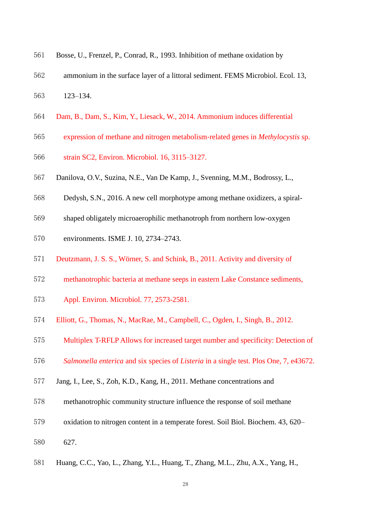| 561<br>Bosse, U., Frenzel, P., Conrad, R., 1993. Inhibition of methane oxidation by |  |  |
|-------------------------------------------------------------------------------------|--|--|
|-------------------------------------------------------------------------------------|--|--|

- ammonium in the surface layer of a littoral sediment. FEMS Microbiol. Ecol. 13, 123–134.
- Dam, B., Dam, S., Kim, Y., Liesack, W., 2014. Ammonium induces differential
- expression of methane and nitrogen metabolism‐related genes in *Methylocystis* sp.
- strain SC2, Environ. Microbiol. 16, 3115–3127.
- [Danilova, O.V.](http://apps.webofknowledge.com/DaisyOneClickSearch.do?product=WOS&search_mode=DaisyOneClickSearch&colName=WOS&SID=8CPhC4vbj1daMb534yc&author_name=Danilova,%20OV&dais_id=995433&excludeEventConfig=ExcludeIfFromFullRecPage), [Suzina, N.E.](http://apps.webofknowledge.com/DaisyOneClickSearch.do?product=WOS&search_mode=DaisyOneClickSearch&colName=WOS&SID=8CPhC4vbj1daMb534yc&author_name=Suzina,%20NE&dais_id=165781&excludeEventConfig=ExcludeIfFromFullRecPage), [Van De Kamp, J.](http://apps.webofknowledge.com/DaisyOneClickSearch.do?product=WOS&search_mode=DaisyOneClickSearch&colName=WOS&SID=8CPhC4vbj1daMb534yc&author_name=Van%20De%20Kamp,%20J&dais_id=11217853&excludeEventConfig=ExcludeIfFromFullRecPage), [Svenning, M.M.](http://apps.webofknowledge.com/DaisyOneClickSearch.do?product=WOS&search_mode=DaisyOneClickSearch&colName=WOS&SID=8CPhC4vbj1daMb534yc&author_name=Svenning,%20MM&dais_id=1045112&excludeEventConfig=ExcludeIfFromFullRecPage), [Bodrossy, L.](http://apps.webofknowledge.com/DaisyOneClickSearch.do?product=WOS&search_mode=DaisyOneClickSearch&colName=WOS&SID=8CPhC4vbj1daMb534yc&author_name=Bodrossy,%20L&dais_id=1730284&excludeEventConfig=ExcludeIfFromFullRecPage),
- [Dedysh, S.N.](http://apps.webofknowledge.com/DaisyOneClickSearch.do?product=WOS&search_mode=DaisyOneClickSearch&colName=WOS&SID=8CPhC4vbj1daMb534yc&author_name=Dedysh,%20SN&dais_id=302383&excludeEventConfig=ExcludeIfFromFullRecPage), 2016. A new cell morphotype among methane oxidizers, a spiral-
- shaped obligately microaerophilic methanotroph from northern low-oxygen
- environments. ISME J. 10, 2734–2743.
- Deutzmann, J. S. S., Wörner, S. and Schink, B., 2011. Activity and diversity of
- methanotrophic bacteria at methane seeps in eastern Lake Constance sediments,
- Appl. Environ. Microbiol. 77, 2573-2581.
- Elliott, G., Thomas, N., MacRae, M., Campbell, C., Ogden, I., Singh, B., 2012.
- Multiplex T-RFLP Allows for increased target number and specificity: Detection of
- *Salmonella enterica* and six species of *Listeria* in a single test. Plos One, 7, e43672.
- Jang, I., Lee, S., Zoh, K.D., Kang, H., 2011. Methane concentrations and
- methanotrophic community structure influence the response of soil methane
- oxidation to nitrogen content in a temperate forest. Soil Biol. Biochem. 43, 620–
- 627.
- [Huang, C.C.](http://apps.webofknowledge.com/OneClickSearch.do?product=WOS&search_mode=OneClickSearch&excludeEventConfig=ExcludeIfFromFullRecPage&colName=WOS&SID=8BMzuqyUBLPRJXNQY8F&field=AU&value=Huang,%20CC)[, Yao, L.](http://apps.webofknowledge.com/OneClickSearch.do?product=WOS&search_mode=OneClickSearch&excludeEventConfig=ExcludeIfFromFullRecPage&colName=WOS&SID=8BMzuqyUBLPRJXNQY8F&field=AU&value=Yao,%20L), [Zhang, Y.L.](http://apps.webofknowledge.com/OneClickSearch.do?product=WOS&search_mode=OneClickSearch&excludeEventConfig=ExcludeIfFromFullRecPage&colName=WOS&SID=8BMzuqyUBLPRJXNQY8F&field=AU&value=Zhang,%20YL), [Huang, T.](http://apps.webofknowledge.com/OneClickSearch.do?product=WOS&search_mode=OneClickSearch&excludeEventConfig=ExcludeIfFromFullRecPage&colName=WOS&SID=8BMzuqyUBLPRJXNQY8F&field=AU&value=Huang,%20T), [Zhang, M.L.](http://apps.webofknowledge.com/OneClickSearch.do?product=WOS&search_mode=OneClickSearch&excludeEventConfig=ExcludeIfFromFullRecPage&colName=WOS&SID=8BMzuqyUBLPRJXNQY8F&field=AU&value=Zhang,%20ML), [Zhu, A.X.](http://apps.webofknowledge.com/OneClickSearch.do?product=WOS&search_mode=OneClickSearch&excludeEventConfig=ExcludeIfFromFullRecPage&colName=WOS&SID=8BMzuqyUBLPRJXNQY8F&field=AU&value=Zhu,%20AX), [Yang, H.](http://apps.webofknowledge.com/OneClickSearch.do?product=WOS&search_mode=OneClickSearch&excludeEventConfig=ExcludeIfFromFullRecPage&colName=WOS&SID=8BMzuqyUBLPRJXNQY8F&field=AU&value=Yang,%20H),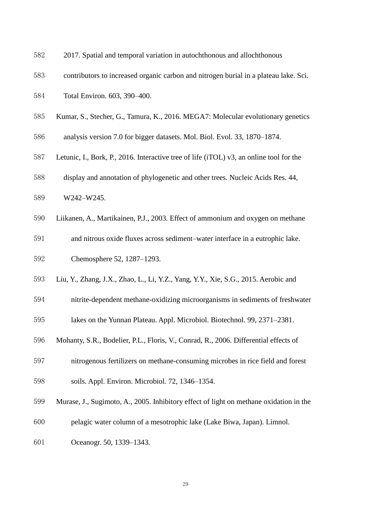- 2017. Spatial and temporal variation in autochthonous and allochthonous
- contributors to increased organic carbon and nitrogen burial in a plateau lake. Sci.
- Total Environ. 603, 390–400.
- Kumar, S., Stecher, G., Tamura, K., 2016. MEGA7: Molecular evolutionary genetics
- analysis version 7.0 for bigger datasets. Mol. Biol. Evol. 33, 1870–1874.
- Letunic, I., Bork, P., 2016. Interactive tree of life (iTOL) v3, an online tool for the
- display and annotation of phylogenetic and other trees. Nucleic Acids Res. 44,
- W242–W245.
- Liikanen, A., Martikainen, P.J., 2003. Effect of ammonium and oxygen on methane
- and nitrous oxide fluxes across sediment–water interface in a eutrophic lake. Chemosphere 52, 1287–1293.
- [Liu, Y.](http://apps.webofknowledge.com/DaisyOneClickSearch.do?product=WOS&search_mode=DaisyOneClickSearch&colName=WOS&SID=5FEsUu6Uto19sXeSUQ3&author_name=Liu,%20Y&dais_id=1000361703&excludeEventConfig=ExcludeIfFromFullRecPage), [Zhang, J.X.](http://apps.webofknowledge.com/DaisyOneClickSearch.do?product=WOS&search_mode=DaisyOneClickSearch&colName=WOS&SID=5FEsUu6Uto19sXeSUQ3&author_name=Zhang,%20JX&dais_id=38452729&excludeEventConfig=ExcludeIfFromFullRecPage), [Zhao, L.](http://apps.webofknowledge.com/DaisyOneClickSearch.do?product=WOS&search_mode=DaisyOneClickSearch&colName=WOS&SID=5FEsUu6Uto19sXeSUQ3&author_name=Zhao,%20L&dais_id=41317424&excludeEventConfig=ExcludeIfFromFullRecPage), [Li, Y.Z.](http://apps.webofknowledge.com/DaisyOneClickSearch.do?product=WOS&search_mode=DaisyOneClickSearch&colName=WOS&SID=5FEsUu6Uto19sXeSUQ3&author_name=Li,%20YZ&dais_id=17362429&excludeEventConfig=ExcludeIfFromFullRecPage)[, Yang, Y.Y.](http://apps.webofknowledge.com/DaisyOneClickSearch.do?product=WOS&search_mode=DaisyOneClickSearch&colName=WOS&SID=5FEsUu6Uto19sXeSUQ3&author_name=Yang,%20YY&dais_id=36291409&excludeEventConfig=ExcludeIfFromFullRecPage), [Xie, S.G.](http://apps.webofknowledge.com/DaisyOneClickSearch.do?product=WOS&search_mode=DaisyOneClickSearch&colName=WOS&SID=5FEsUu6Uto19sXeSUQ3&author_name=Xie,%20SG&dais_id=21861907&excludeEventConfig=ExcludeIfFromFullRecPage), 2015. Aerobic and
- nitrite-dependent methane-oxidizing microorganisms in sediments of freshwater
- lakes on the Yunnan Plateau. Appl. Microbiol. Biotechnol. 99, 2371–2381.
- Mohanty, S.R., Bodelier, P.L., Floris, V., Conrad, R., 2006. Differential effects of
- nitrogenous fertilizers on methane-consuming microbes in rice field and forest soils. Appl. Environ. Microbiol. 72, 1346–1354.
- Murase, J., Sugimoto, A., 2005. Inhibitory effect of light on methane oxidation in the
- pelagic water column of a mesotrophic lake (Lake Biwa, Japan). Limnol.
- Oceanogr. 50, 1339–1343.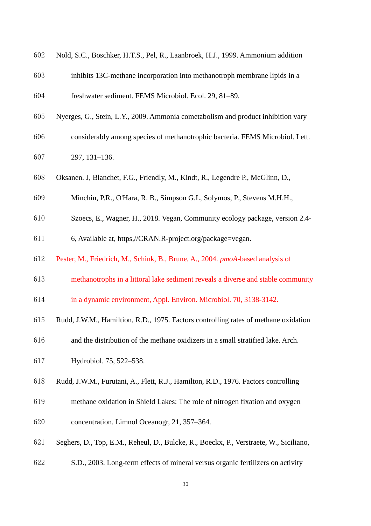| 602 | Nold, S.C., Boschker, H.T.S., Pel, R., Laanbroek, H.J., 1999. Ammonium addition        |
|-----|----------------------------------------------------------------------------------------|
| 603 | inhibits 13C-methane incorporation into methanotroph membrane lipids in a              |
| 604 | freshwater sediment. FEMS Microbiol. Ecol. 29, 81-89.                                  |
| 605 | Nyerges, G., Stein, L.Y., 2009. Ammonia cometabolism and product inhibition vary       |
| 606 | considerably among species of methanotrophic bacteria. FEMS Microbiol. Lett.           |
| 607 | 297, 131-136.                                                                          |
| 608 | Oksanen. J, Blanchet, F.G., Friendly, M., Kindt, R., Legendre P., McGlinn, D.,         |
| 609 | Minchin, P.R., O'Hara, R. B., Simpson G.L, Solymos, P., Stevens M.H.H.,                |
| 610 | Szoecs, E., Wagner, H., 2018. Vegan, Community ecology package, version 2.4-           |
| 611 | 6, Available at, https,//CRAN.R-project.org/package=vegan.                             |
| 612 | Pester, M., Friedrich, M., Schink, B., Brune, A., 2004. pmoA-based analysis of         |
| 613 | methanotrophs in a littoral lake sediment reveals a diverse and stable community       |
| 614 | in a dynamic environment, Appl. Environ. Microbiol. 70, 3138-3142.                     |
| 615 | Rudd, J.W.M., Hamiltion, R.D., 1975. Factors controlling rates of methane oxidation    |
| 616 | and the distribution of the methane oxidizers in a small stratified lake. Arch.        |
| 617 | Hydrobiol. 75, 522–538.                                                                |
| 618 | Rudd, J.W.M., Furutani, A., Flett, R.J., Hamilton, R.D., 1976. Factors controlling     |
| 619 | methane oxidation in Shield Lakes: The role of nitrogen fixation and oxygen            |
| 620 | concentration. Limnol Oceanogr, 21, 357–364.                                           |
| 621 | Seghers, D., Top, E.M., Reheul, D., Bulcke, R., Boeckx, P., Verstraete, W., Siciliano, |
| 622 | S.D., 2003. Long-term effects of mineral versus organic fertilizers on activity        |
|     | 30                                                                                     |
|     |                                                                                        |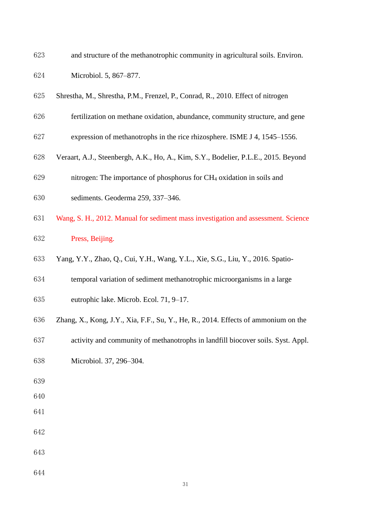| 623 | and structure of the methanotrophic community in agricultural soils. Environ.      |
|-----|------------------------------------------------------------------------------------|
| 624 | Microbiol. 5, 867-877.                                                             |
| 625 | Shrestha, M., Shrestha, P.M., Frenzel, P., Conrad, R., 2010. Effect of nitrogen    |
| 626 | fertilization on methane oxidation, abundance, community structure, and gene       |
| 627 | expression of methanotrophs in the rice rhizosphere. ISME J 4, 1545-1556.          |
| 628 | Veraart, A.J., Steenbergh, A.K., Ho, A., Kim, S.Y., Bodelier, P.L.E., 2015. Beyond |
| 629 | nitrogen: The importance of phosphorus for CH <sub>4</sub> oxidation in soils and  |
| 630 | sediments. Geoderma 259, 337-346.                                                  |
| 631 | Wang, S. H., 2012. Manual for sediment mass investigation and assessment. Science  |
| 632 | Press, Beijing.                                                                    |
| 633 | Yang, Y.Y., Zhao, Q., Cui, Y.H., Wang, Y.L., Xie, S.G., Liu, Y., 2016. Spatio-     |
| 634 | temporal variation of sediment methanotrophic microorganisms in a large            |
| 635 | eutrophic lake. Microb. Ecol. 71, 9-17.                                            |
| 636 | Zhang, X., Kong, J.Y., Xia, F.F., Su, Y., He, R., 2014. Effects of ammonium on the |
| 637 | activity and community of methanotrophs in landfill biocover soils. Syst. Appl.    |
| 638 | Microbiol. 37, 296-304.                                                            |
| 639 |                                                                                    |
| 640 |                                                                                    |
| 641 |                                                                                    |
| 642 |                                                                                    |
| 643 |                                                                                    |
| 644 |                                                                                    |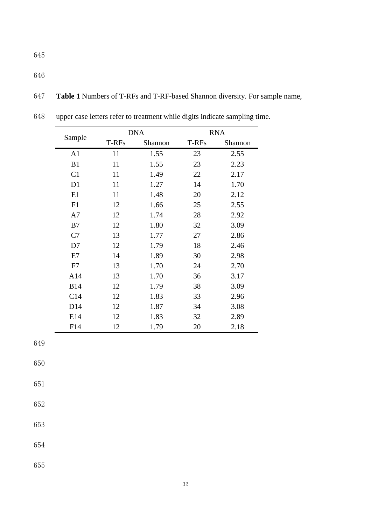646

647 **Table 1** Numbers of T-RFs and T-RF-based Shannon diversity. For sample name,

|                | <b>DNA</b> |         | <b>RNA</b> |         |  |
|----------------|------------|---------|------------|---------|--|
| Sample         | T-RFs      | Shannon | T-RFs      | Shannon |  |
| A <sub>1</sub> | 11         | 1.55    | 23         | 2.55    |  |
| B1             | 11         | 1.55    | 23         | 2.23    |  |
| C1             | 11         | 1.49    | 22         | 2.17    |  |
| D <sub>1</sub> | 11         | 1.27    | 14         | 1.70    |  |
| E1             | 11         | 1.48    | 20         | 2.12    |  |
| F1             | 12         | 1.66    | 25         | 2.55    |  |
| A7             | 12         | 1.74    | 28         | 2.92    |  |
| B7             | 12         | 1.80    | 32         | 3.09    |  |
| C7             | 13         | 1.77    | 27         | 2.86    |  |
| D7             | 12         | 1.79    | 18         | 2.46    |  |
| E7             | 14         | 1.89    | 30         | 2.98    |  |
| F7             | 13         | 1.70    | 24         | 2.70    |  |
| A14            | 13         | 1.70    | 36         | 3.17    |  |
| <b>B14</b>     | 12         | 1.79    | 38         | 3.09    |  |
| C14            | 12         | 1.83    | 33         | 2.96    |  |
| D14            | 12         | 1.87    | 34         | 3.08    |  |
| E14            | 12         | 1.83    | 32         | 2.89    |  |
| F14            | 12         | 1.79    | 20         | 2.18    |  |

648 upper case letters refer to treatment while digits indicate sampling time.

649

650

651

652

653

654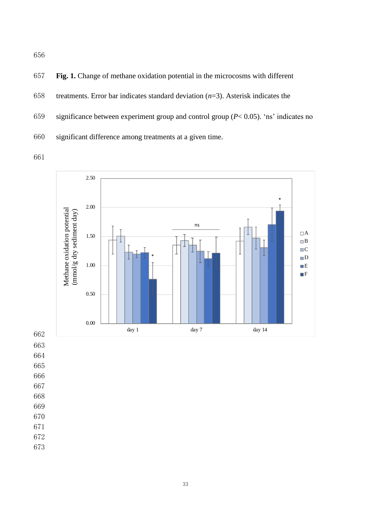657 **Fig. 1.** Change of methane oxidation potential in the microcosms with different 658 treatments. Error bar indicates standard deviation (*n*=3). Asterisk indicates the 659 significance between experiment group and control group (*P*< 0.05). 'ns' indicates no 660 significant difference among treatments at a given time.



- 663
- 664
- 665
- 666 667
- 668
- 669
- 670
- 671
- 672
- 673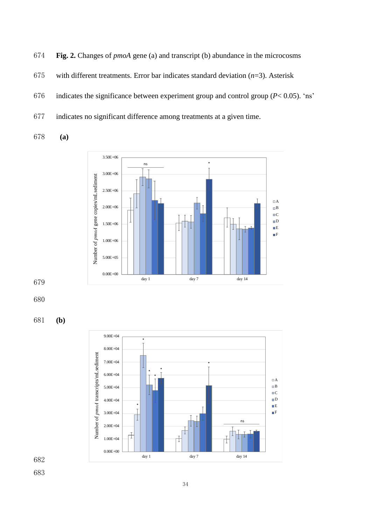674 **Fig. 2.** Changes of *pmoA* gene (a) and transcript (b) abundance in the microcosms

- 675 with different treatments. Error bar indicates standard deviation (*n*=3). Asterisk
- 676 indicates the significance between experiment group and control group (*P*< 0.05). 'ns'
- 677 indicates no significant difference among treatments at a given time.

678 **(a)**











682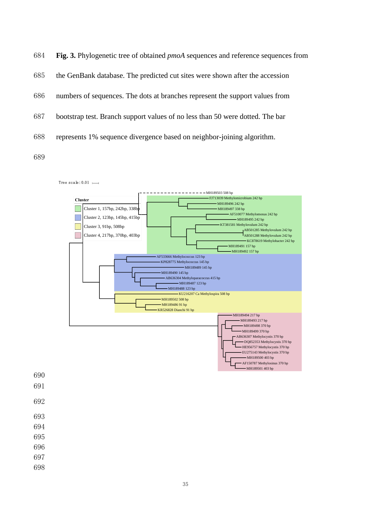





| 690 |  |  |  |
|-----|--|--|--|
| 691 |  |  |  |
| 692 |  |  |  |
| 693 |  |  |  |
| 694 |  |  |  |
| 695 |  |  |  |
| 696 |  |  |  |
| 697 |  |  |  |
| 698 |  |  |  |
|     |  |  |  |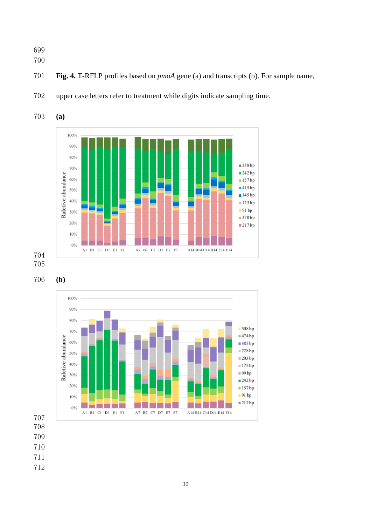- 
- 
- **Fig. 4.** T-RFLP profiles based on *pmoA* gene (a) and transcripts (b). For sample name,



upper case letters refer to treatment while digits indicate sampling time.

**(a)**



**(b)**



- 
- 
- 
- 
-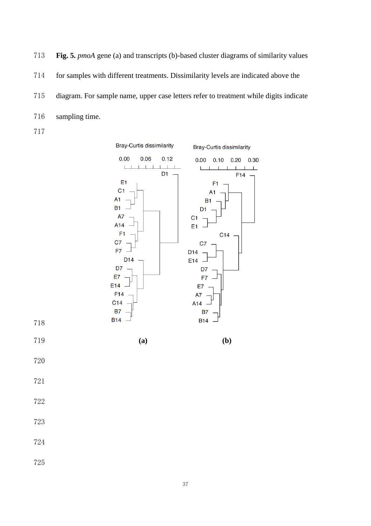**Fig. 5.** *pmoA* gene (a) and transcripts (b)-based cluster diagrams of similarity values for samples with different treatments. Dissimilarity levels are indicated above the diagram. For sample name, upper case letters refer to treatment while digits indicate sampling time. 



- 
- 
- 
- 
-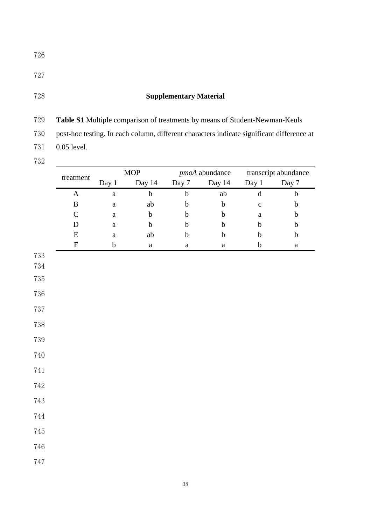# **Supplementary Material**

**Table S1** Multiple comparison of treatments by means of Student-Newman-Keuls

post-hoc testing. In each column, different characters indicate significant difference at

- 0.05 level.
- 

|         | treatment    | $\bf{MOP}$       |                  |                  | pmoA abundance   |                  | transcript abundance |  |
|---------|--------------|------------------|------------------|------------------|------------------|------------------|----------------------|--|
|         |              | Day $1$          | Day 14           | Day 7            | Day 14           | Day 1            | Day 7                |  |
|         | $\mathbf A$  | $\mathbf{a}$     | $\bf b$          | $\bf b$          | $\rm ab$         | $\mathbf d$      | $\bf b$              |  |
|         | $\, {\bf B}$ | $\mathbf{a}$     | $\mathrm{ab}$    | $\mathbf b$      | $\bf b$          | $\mathbf c$      | $\bf b$              |  |
|         | $\mathsf C$  | $\rm{a}$         | $\boldsymbol{b}$ | $\mathbf b$      | $\mathbf b$      | $\mathbf{a}$     | $\mathbf b$          |  |
|         | ${\bf D}$    | $\mathbf{a}$     | $\boldsymbol{b}$ | $\boldsymbol{b}$ | $\boldsymbol{b}$ | $\mathbf b$      | $\bf b$              |  |
|         | ${\bf E}$    | $\mathbf{a}$     | ab               | $\boldsymbol{b}$ | $\boldsymbol{b}$ | $\mathbf b$      | $\mathbf b$          |  |
|         | ${\bf F}$    | $\boldsymbol{b}$ | $\mathbf{a}$     | $\mathbf{a}$     | $\mathbf{a}$     | $\boldsymbol{b}$ | $\rm{a}$             |  |
| 733     |              |                  |                  |                  |                  |                  |                      |  |
| $734\,$ |              |                  |                  |                  |                  |                  |                      |  |
| $735\,$ |              |                  |                  |                  |                  |                  |                      |  |
| 736     |              |                  |                  |                  |                  |                  |                      |  |
| $737\,$ |              |                  |                  |                  |                  |                  |                      |  |
| $738\,$ |              |                  |                  |                  |                  |                  |                      |  |
| $739\,$ |              |                  |                  |                  |                  |                  |                      |  |
| 740     |              |                  |                  |                  |                  |                  |                      |  |
| $741\,$ |              |                  |                  |                  |                  |                  |                      |  |
| $742\,$ |              |                  |                  |                  |                  |                  |                      |  |
| $743\,$ |              |                  |                  |                  |                  |                  |                      |  |
| $744\,$ |              |                  |                  |                  |                  |                  |                      |  |
| $745\,$ |              |                  |                  |                  |                  |                  |                      |  |
| $746\,$ |              |                  |                  |                  |                  |                  |                      |  |
| $747\,$ |              |                  |                  |                  |                  |                  |                      |  |
|         |              |                  |                  |                  |                  |                  |                      |  |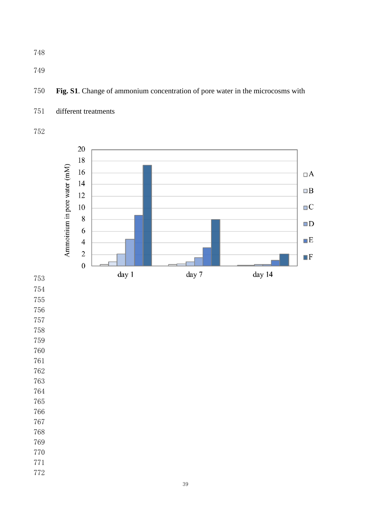**Fig. S1**. Change of ammonium concentration of pore water in the microcosms with



different treatments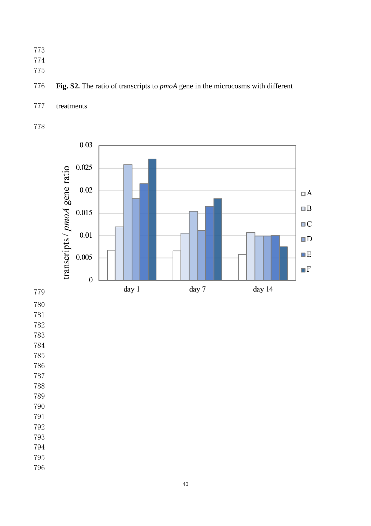- 
- 
- 

## **Fig. S2.** The ratio of transcripts to *pmoA* gene in the microcosms with different

treatments



- 
- 
- 
- 
- 
- 
- 
- 
- 
- 
- 
- 
- 
- 
-